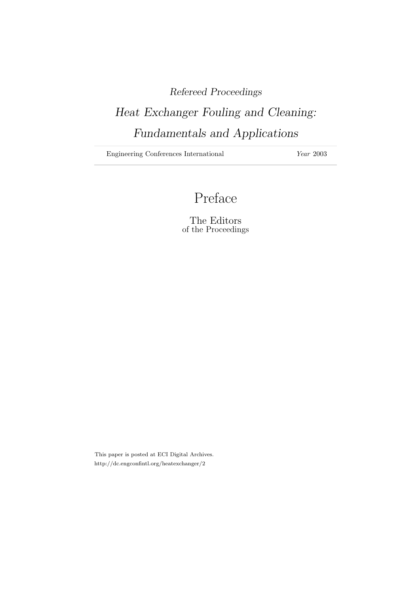## Refereed Proceedings

# Heat Exchanger Fouling and Cleaning: Fundamentals and Applications

Engineering Conferences International Year 2003

## Preface

The Editors of the Proceedings

This paper is posted at ECI Digital Archives. http://dc.engconfintl.org/heatexchanger/2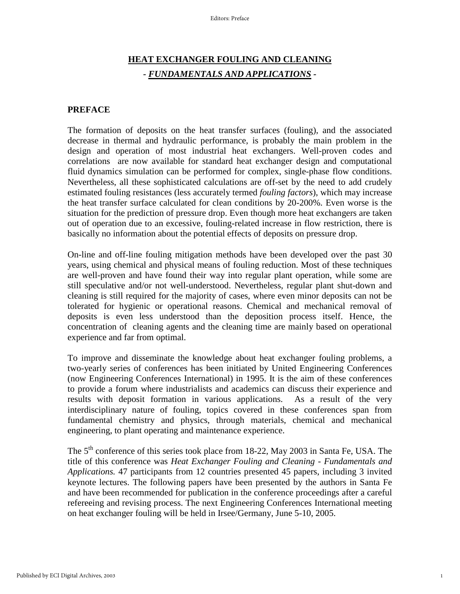### **HEAT EXCHANGER FOULING AND CLEANING** *- FUNDAMENTALS AND APPLICATIONS -*

#### **PREFACE**

The formation of deposits on the heat transfer surfaces (fouling), and the associated decrease in thermal and hydraulic performance, is probably the main problem in the design and operation of most industrial heat exchangers. Well-proven codes and correlations are now available for standard heat exchanger design and computational fluid dynamics simulation can be performed for complex, single-phase flow conditions. Nevertheless, all these sophisticated calculations are off-set by the need to add crudely estimated fouling resistances (less accurately termed *fouling factors*), which may increase the heat transfer surface calculated for clean conditions by 20-200%. Even worse is the situation for the prediction of pressure drop. Even though more heat exchangers are taken out of operation due to an excessive, fouling-related increase in flow restriction, there is basically no information about the potential effects of deposits on pressure drop.

On-line and off-line fouling mitigation methods have been developed over the past 30 years, using chemical and physical means of fouling reduction. Most of these techniques are well-proven and have found their way into regular plant operation, while some are still speculative and/or not well-understood. Nevertheless, regular plant shut-down and cleaning is still required for the majority of cases, where even minor deposits can not be tolerated for hygienic or operational reasons. Chemical and mechanical removal of deposits is even less understood than the deposition process itself. Hence, the concentration of cleaning agents and the cleaning time are mainly based on operational experience and far from optimal.

To improve and disseminate the knowledge about heat exchanger fouling problems, a two-yearly series of conferences has been initiated by United Engineering Conferences (now Engineering Conferences International) in 1995. It is the aim of these conferences to provide a forum where industrialists and academics can discuss their experience and results with deposit formation in various applications. As a result of the very interdisciplinary nature of fouling, topics covered in these conferences span from fundamental chemistry and physics, through materials, chemical and mechanical engineering, to plant operating and maintenance experience.

The 5<sup>th</sup> conference of this series took place from 18-22, May 2003 in Santa Fe, USA. The title of this conference was *Heat Exchanger Fouling and Cleaning - Fundamentals and Applications.* 47 participants from 12 countries presented 45 papers, including 3 invited keynote lectures. The following papers have been presented by the authors in Santa Fe and have been recommended for publication in the conference proceedings after a careful refereeing and revising process. The next Engineering Conferences International meeting on heat exchanger fouling will be held in Irsee/Germany, June 5-10, 2005.